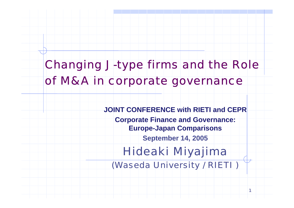## Changing J-type firms and the Role of M&A in corporate governance

**JOINT CONFERENCE with RIETI and CEPRCorporate Finance and Governance: Europe-Japan Comparisons September 14, 2005** Hideaki Miyajima (Waseda University / RIETI )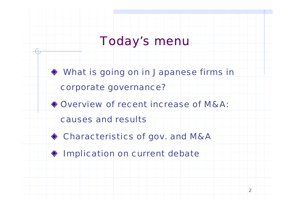## Today's menu

What is going on in Japanese firms in

#### corporate governance?

Overview of recent increase of M&A:

causes and results



 $\bullet$  Implication on current debate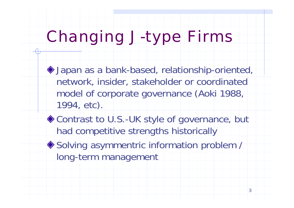# Changing J-type Firms

- Japan as a bank-based, relationship-oriented, network, insider, stakeholder or coordinated model of corporate governance (Aoki 1988, 1994, etc).
- ◆ Contrast to U.S.-UK style of governance, but had competitive strengths historically ◆ Solving asymmentric information problem / long-term management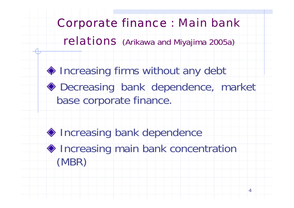### Corporate finance : Main bank

### relations (Arikawa and Miyajima 2005a)

♦ Increasing firms without any debt Decreasing bank dependence, market base corporate finance.

♦ Increasing bank dependence ♦ Increasing main bank concentration (MBR)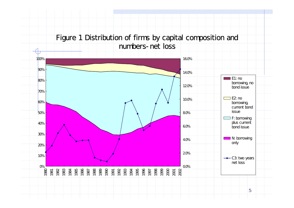#### Figure 1 Distribution of firms by capital composition and numbers-net loss

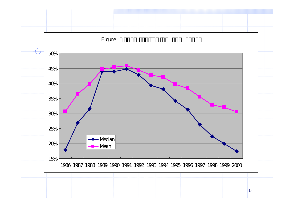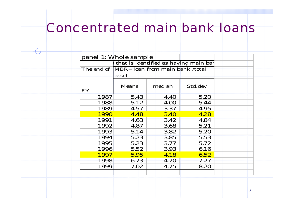## Concentrated main bank loans

|           |                                                     |             | that is identified as having main bar |  |
|-----------|-----------------------------------------------------|-------------|---------------------------------------|--|
|           | The end of MBR= loan from main bank /total<br>asset |             |                                       |  |
| <b>FY</b> | <b>Means</b>                                        | median      | Std.dev                               |  |
| 1987      | 5.43                                                | <b>4.40</b> | 5.20                                  |  |
| 1988      | 5.12                                                | 4.00        | 5.44                                  |  |
| 1989      | 4.57                                                | 3.37        | 4.95                                  |  |
| 1990      | 4.48                                                | <b>3.40</b> | 4.28                                  |  |
| 1991      | 4.63                                                | 3.42        | 4.84                                  |  |
| 1992      | 4.87                                                | 3.68        | 5.21                                  |  |
| 1993      | 5.14                                                | 3.82        | 5.20                                  |  |
| 1994      | 5.23                                                | 3.85        | 5.53                                  |  |
| 1995      | 5.23                                                | 3.77        | 5.72                                  |  |
| 1996      | 5.52                                                | 3.93        | 6.16                                  |  |
| 1997      | 5.95                                                | 4.18        | 6.52                                  |  |
| 1998      | 6.73                                                | <b>4.70</b> | 7.27                                  |  |
| 1999      | 7.02                                                | 4.75        | 8.20                                  |  |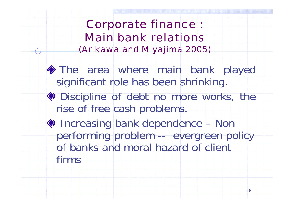Corporate finance : Main bank relations(Arikawa and Miyajima 2005)

The area where main bank played significant role has been shrinking. **Example 30 Discipline of debt no more works, the** rise of free cash problems. ◆ Increasing bank dependence – Non performing problem -- evergreen policy of banks and moral hazard of client

firms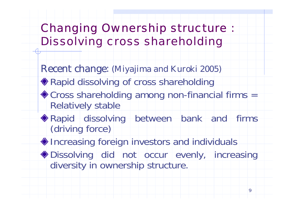## Changing Ownership structure : Dissolving cross shareholding

Recent change: (Miyajima and Kuroki 2005)

- ◆ Rapid dissolving of cross shareholding
- Cross shareholding among non-financial firms = Relatively stable
- Rapid dissolving between bank and firms (driving force)

♦ Increasing foreign investors and individuals

Dissolving did not occur evenly, increasing diversity in ownership structure.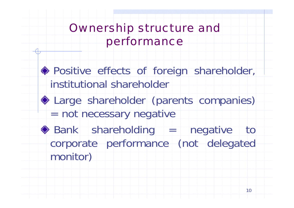## Ownership structure and performance

Positive effects of foreign shareholder, institutional shareholder

Large shareholder (parents companies) = not necessary negative

 $\bullet$  Bank shareholding  $=$  negative to corporate performance (not delegated monitor)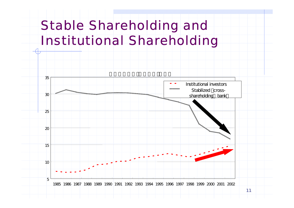## Stable Shareholding and Institutional Shareholding

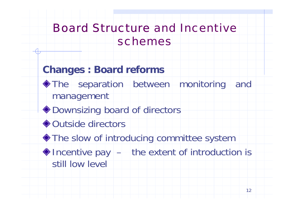## Board Structure and Incentive schemes

### **Changes : Board reforms**

- The separation between monitoring and management
- ◆ Downsizing board of directors
- **◆ Outside directors**
- $\blacklozenge$  The slow of introducing committee system
- $\triangle$  Incentive pay  $-$  the extent of introduction is still low level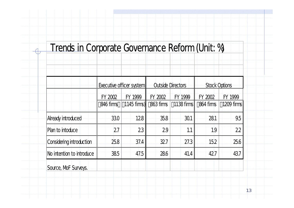### Trends in Corporate Governance Reform (Unit: %)

|                           |                      | Executive officer system |                      | <b>Outside Directors</b> |                      | <b>Stock Options</b>  |
|---------------------------|----------------------|--------------------------|----------------------|--------------------------|----------------------|-----------------------|
|                           | FY 2002<br>846 firms | FY 1999<br>$1145$ firms) | FY 2002<br>863 firms | FY 1999<br>$1138$ firms  | FY 2002<br>864 firms | FY 1999<br>1209 firms |
| Already introduced        | 330                  | 128                      | 35.8                 | $-30.1$                  | 281                  | 9.5                   |
| Plan to intoduce          | 27                   | 23                       | 29                   | 1.1                      | 1.9                  | 22                    |
| Considering introduction  | 25.8                 | 37.4                     | 327                  | 27.3                     | 15.2                 | 25.6                  |
| No intention to introduce | 385                  | 47.5                     | 28.6                 | 41.4                     | 427                  | 43.7                  |
| Source, MoF Surveys.      |                      |                          |                      |                          |                      |                       |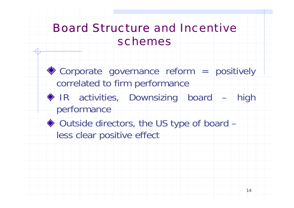## Board Structure and Incentive schemes

Corporate governance reform = positively correlated to firm performance **IR** activities, Downsizing board – high performance

◆ Outside directors, the US type of board – less clear positive effect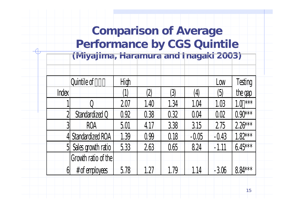### **Comparison of Average Performance by CGS Quintile (Miyajima, Haramura and Inagaki 2003)**

|                | Quintile of          | High   |      |                  |                   | Low              | Testing    |
|----------------|----------------------|--------|------|------------------|-------------------|------------------|------------|
| <b>Index</b>   |                      | $\c1)$ | (2)  | $\left(3\right)$ | $\left( 4\right)$ | $\left(5\right)$ | the gap    |
|                |                      | 2.07   | 1.40 | 1.34             | 1.04              | 1.03             | ***<br>1.0 |
| $\overline{2}$ | Standardized Q       | 0.92   | 0.38 | 0.32             | 0.04              | 0.02             | $0.90***$  |
| 3              | <b>ROA</b>           | 5.01   | 4.17 | 3.38             | 3.15              | 2.75             | $2.26***$  |
|                | 4 Standardized ROA   | 1.39   | 0.99 | 0.18             | $-0.05$           | $-0.43$          | $1.82***$  |
|                | 5 Sales growth ratio | 5.33   | 2.63 | 0.65             | 8.24              | $-1.11$          | $6.45***$  |
|                | Growth ratio of the  |        |      |                  |                   |                  |            |
| $6 \mid$       | $#$ of employees     | 5.78   | 1.27 | 1.79             | 1.14              | $-306$           | 8.84 ***   |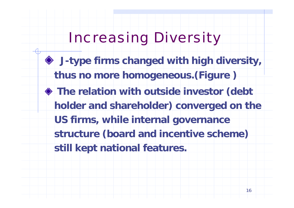# Increasing Diversity

- **J-type firms changed with high diversity, thus no more homogeneous.(Figure )**
- **The relation with outside investor (debt holder and shareholder) converged on the US firms, while internal governance structure (board and incentive scheme) still kept national features.**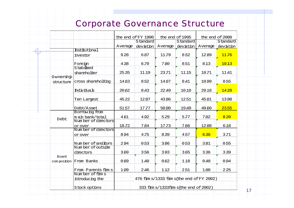#### Corporate Governance Structure

|                                              |                                                           |         | the end of FY 1990 |         | the end of 1995                            |         | the end of 2000 |  |
|----------------------------------------------|-----------------------------------------------------------|---------|--------------------|---------|--------------------------------------------|---------|-----------------|--|
|                                              |                                                           |         | Standard           |         | Standard                                   |         | Standard        |  |
|                                              |                                                           | Average | devation           | Average | devation                                   | Average | devation        |  |
|                                              | <b>Institutional</b>                                      |         |                    |         |                                            |         |                 |  |
|                                              | investor                                                  | 928     | 687                | 11.79   | 852                                        | 1289    | 11.76           |  |
|                                              | Foreign<br>Stabilized                                     | 438     | 6.79               | 780     | 851                                        | 813     | 1013            |  |
|                                              | shareholder                                               | 2535    | 11 19              | 23.71   | 1115                                       | 18.71   | 11.41           |  |
| structure                                    | cross shareholding                                        | 1463    | 852                | 14 07   | 8.41                                       | 1099    | 855             |  |
|                                              | <b>Individuals</b>                                        | 2062    | 8.43               | 22.49   | 1010                                       | 29 18   | 1428            |  |
|                                              | Ten Largest                                               | 4522    | 12.07              | 4386    | 1251                                       | 45 01   | 1398            |  |
|                                              | Debt/Asset                                                | 5157    | 17.77              | 50 00   | 19.49                                      | 49.60   | 2355            |  |
| Debt                                         | Borrow ng from<br>m an bank/total<br>Num ber of directors | 461     | 492                | 529     | 5.77                                       | 702     | 8 2 0           |  |
|                                              | or over<br>Num ber of directors                           | 18.72   | 784                | 17.73   | 766                                        | 1288    | 618             |  |
| Ownership<br>Board<br>composition From Banks | or over                                                   | 894     | 4.75               | 839     | 457                                        | 636     | 3.71            |  |
|                                              | Num ber of anditors<br>Num ber of outside                 | 294     | 0.53               | 386     | 0.53                                       | 381     | 0.55            |  |
|                                              | directors                                                 | 369     | 356                | 393     | 365                                        | 336     | 339             |  |
|                                              |                                                           | 0.69    | 1.40               | 0.62    | 118                                        | 0.48    | 094             |  |
|                                              | From Parents firm s                                       | 109     | 2.46               | 112     | 251                                        | 100     | 225             |  |
|                                              | Number of firms<br>introducing the                        |         |                    |         | 476 film s/1333 film s(the end of FY 2002) |         |                 |  |
|                                              | Stock options                                             |         |                    |         | 333 firm s/1333 firm s (the end of 2002)   |         |                 |  |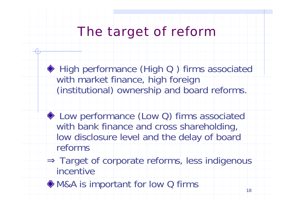## The target of reform

◆ High performance (High Q) firms associated with market finance, high foreign (institutional) ownership and board reforms.

◆ Low performance (Low Q) firms associated with bank finance and cross shareholding, low disclosure level and the delay of board reforms

Target of corporate reforms, less indigenous incentive

◆ M&A is important for low Q firms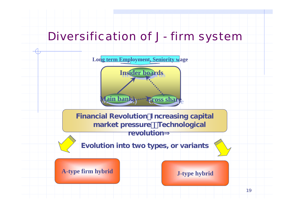### Diversification of J- firm system

**Long term Employment, Seniority wage**

**Insider boards Insider boards**

**Main bank) Main bank) Cross share Cross share**

**Financial Revolution Increasing capital market pressure**)・**Technological revolution**⇒



**Evolution into two types, or variants**

**A-type firm hybrid J-type hybrid**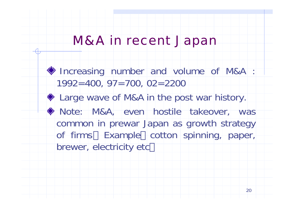## M&A in recent Japan

**Increasing number and volume of M&A :** 1992=400, 97=700, 02=2200 ◆ Large wave of M&A in the post war history. Note: M&A, even hostile takeover, was common in prewar Japan as growth strategy of firms Example cotton spinning, paper, brewer, electricity etc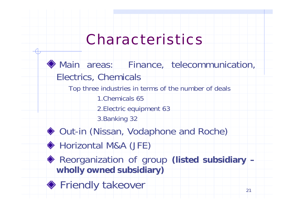# Characteristics

Main areas: Finance, telecommunication, Electrics, Chemicals Top three industries in terms of the number of deals 1.Chemicals 652.Electric equipment 63 3.Banking 32 ◆ Out-in (Nissan, Vodaphone and Roche) ◆ Horizontal M&A (JFE)

◆ Reorganization of group (listed subsidiary – **wholly owned subsidiary)**

**◆ Friendly takeover**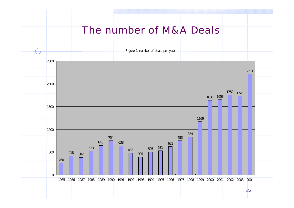#### The number of M&A Deals

Figure 1: number of deals per year

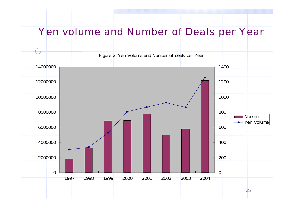#### Yen volume and Number of Deals per Year

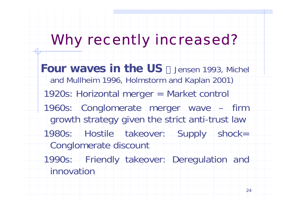# Why recently increased?

- **Four waves in the US** Jensen 1993, Michel and Mullheim 1996, Holmstorm and Kaplan 2001) 1920s: Horizontal merger = Market control
- 1960s: Conglomerate merger wave firm growth strategy given the strict anti-trust law
- 1980s: Hostile takeover: Supply shock= Conglomerate discount
- 1990s: Friendly takeover: Deregulation and innovation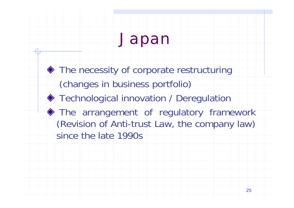# Japan

 $\blacklozenge$  The necessity of corporate restructuring (changes in business portfolio) **Technological innovation / Deregulation** The arrangement of regulatory framework (Revision of Anti-trust Law, the company law) since the late 1990s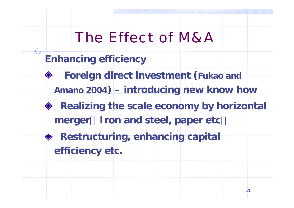# The Effect of M&A

### **Enhancing efficiency**

- **Foreign direct investment (Fukao and** 
	- **Amano 2004) – introducing new know how**
- **Realizing the scale economy by horizontal** 
	- **merger**(**Iron and steel, paper etc**)
- **Restructuring, enhancing capital**

**efficiency etc.**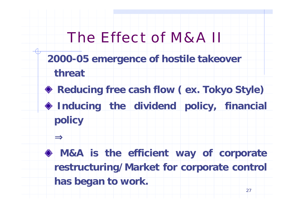# The Effect of M&A II

- **2000-05 emergence of hostile takeover** 
	- **threat**
- **Reducing free cash flow ( ex. Tokyo Style)**
- **Inducing the dividend policy, financial policy**

**M&A is the efficient way of corporate restructuring/Market for corporate control has began to work.**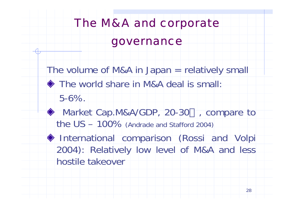# The M&A and corporate governance

The volume of M&A in Japan = relatively small

- The world share in M&A deal is small:
	- 5-6%.
- ◆ Market Cap.M&A/GDP, 20-30 , compare to the US – 100% (Andrade and Stafford 2004)
- International comparison (Rossi and Volpi 2004): Relatively low level of M&A and less hostile takeover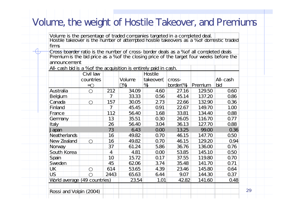### Volume, the weight of Hostile Takeover, and Premiums

Volume is the persentage of traded companies targeted in a completed deal. Hostile takeover is the number of attempted hostile takeovers as a % of domestic traded firms

Cross boarder ratio is the number of cross-border deals as a % of all completed deals Premium is the bid price as a % of the closing price of the target four weeks before the announcement

All-cash bid is a % of the acquisition is entirely paid in cash.

|                              | Civil law |                |        | <b>Hostile</b> |          |         |          |
|------------------------------|-----------|----------------|--------|----------------|----------|---------|----------|
|                              | countries |                | Volume | takeover(      | cross-   |         | All-cash |
|                              | ≕         |                | %      | %              | border(% | Premium | bid      |
| Australia                    |           | 212            | 34.09  | 4.60           | 27.16    | 129.50  | 0.60     |
| <b>Belgium</b>               |           | 7              | 33.33  | 0.56           | 45.14    | 137.20  | 0.86     |
| Canada                       |           | 157            | 30.05  | 273            | 2266     | 13290   | 0.36     |
| <b>Finland</b>               |           | $\overline{7}$ | 45.45  | 0.91           | 22.67    | 149.70  | 1,00     |
| France                       |           | 112            | 56.40  | 1.68           | 33.81    | 134.40  | 0.88     |
| Germany                      |           | 13             | 35.51  | 0.30           | 26.05    | 116.70  | 0.77     |
| Italy                        |           | 26             | 56.40  | 3.04           | 36.13    | 127.70  | 0.88     |
| Japan                        |           | 73             | 6.43   | 000            | 13.25    | 99.00   | 0.36     |
| <b>Neatherlands</b>          |           | 16             | 49.82  | 0.70           | 46.15    | 147.70  | 0.50     |
| New Zealand                  |           | 16             | 49.82  | <b>0.70</b>    | 46.15    | 129.20  | 0.94     |
| Norway                       |           | 37             | 61.24  | 5.86           | 36.76    | 136.00  | 0.76     |
| South Korea                  |           | 4              | 4.81   | 000            | 53.85    | 145.10  | 0.50     |
| Spain                        |           | 10             | 15.72  | <b>0.17</b>    | 37.55    | 119.80  | 0.70     |
| Sweden                       |           | 45             | 6206   | 3.74           | 35.48    | 141.70  | Q.71     |
| UK                           |           | 614            | 53.65  | 4.39           | 23.46    | 145.80  | 0.64     |
| <b>US</b>                    |           | 2443           | 65.63  | 6.44           | 9.07     | 144.30  | 0.37     |
| World average (49 countries) |           |                | 23.54  | 1.01           | 4282     | 141.60  | 0.48     |
|                              |           |                |        |                |          |         |          |

Rossi and Volpin (2004)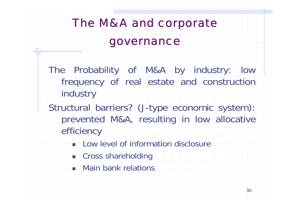# The M&A and corporate governance

- The Probability of M&A by industry: low frequency of real estate and construction industry
- Structural barriers? (J-type economic system): prevented M&A, resulting in low allocative efficiency
	- **Low level of information disclosure**
	- **Example 25 Shareholding**
	- **Reading Lines Exercise Service Services**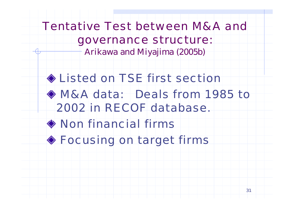# Tentative Test between M&A and governance structure:

Arikawa and Miyajima (2005b)

# Listed on TSE first section M&A data: Deals from 1985 to 2002 in RECOF database.Non financial firms Focusing on target firms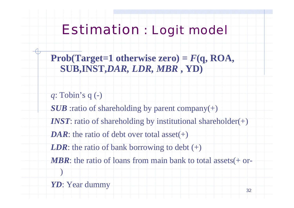## Estimation : Logit model

**Prob(Target=1 otherwise zero) =**  *F***(q, ROA, SUB,INST,***DAR, LDR, MBR* **, YD)**

*q*: Tobin's q (-) *SUB* :ratio of shareholding by parent company(+) *INST:* ratio of shareholding by institutional shareholder(+) *DAR*: the ratio of debt over total asset(+) *LDR*: the ratio of bank borrowing to debt  $(+)$ *MBR*: the ratio of loans from main bank to total assets(+ or- )

*YD*: Year dummy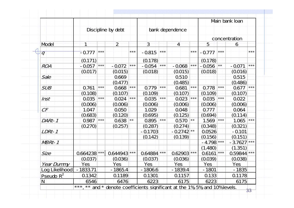|                |              |                   |                    |       |             |       |                 |              |              |                | Main bank Ioan |       |
|----------------|--------------|-------------------|--------------------|-------|-------------|-------|-----------------|--------------|--------------|----------------|----------------|-------|
|                |              |                   | Discipline by debt |       |             |       | bank dependence |              |              |                |                |       |
|                |              |                   |                    |       |             |       |                 |              |              |                | concentration  |       |
| Model          | 1            |                   | $\overline{2}$     |       | $ 3\rangle$ |       | $\mathbf{A}$    |              | 5            |                | 6              |       |
| $\overline{q}$ | $-0.777$     | $***$             |                    | $***$ | $-0.815$    | $***$ |                 | $***$        | $-0.777$     | $***$          |                | ***   |
|                | (0.171)      |                   |                    |       | (0.178)     |       |                 |              | (0.178)      |                |                |       |
| <b>ROA</b>     | $-0.057$     | $\star\star\star$ | $-0.072$           | $***$ | $-0.054$    | $***$ | $-0.068$        | $***$        | $-0.056$     | $\star\,\star$ | $-0.071$       | ***   |
|                | (0.017)      |                   | (0.015)            |       | (0.018)     |       | (0.015)         |              | (0.018)      |                | (0.016)        |       |
| Sale           |              |                   | 0.669              |       |             |       | 0.510           |              |              |                | 0.515          |       |
|                |              |                   | (0.477)            |       |             |       | (0.485)         |              |              |                | (0.486)        |       |
| <b>SUB</b>     | <b>0.761</b> | $***$             | 0.668              | $***$ | 0.779       | $***$ | 0.681           | $***$        | 0.778        | $***$          | 0.677          | $***$ |
|                | (0.108)      |                   | (0.107)            |       | (0.109)     |       | (0.107)         |              | (0.109)      |                | (0.107)        |       |
| Inst           | 0.035        | $***$             | 0.024              | $***$ | 0.035       | $***$ | 0.023           | $***$        | 0.035        | $***$          | 0.022          |       |
|                | (0.006)      |                   | (0.006)            |       | (0.006)     |       | (0.006)         |              | (0.006)      |                | (0.006)        |       |
| $C\digamma$    | 1.047        |                   | 0.050              |       | 1.029       |       | 0.048           |              | 0.777        |                | 0.064          |       |
|                | (0.683)      |                   | (0.120)            |       | (0.695)     |       | (0.125)         |              | (0.694)      |                | (0.114)        |       |
| DARt-1         | <b>0.987</b> | $***$             | $0.638$ **         |       | 0.895       | $***$ | 0.570           | $\star\star$ | 1.569        | $***$          | 1.065          | $***$ |
|                | (0.270)      |                   | (0.257)            |       | (0.287)     |       | (0.274)         |              | (0.348)      |                | (0.321)        |       |
| LDRt-1         |              |                   |                    |       | $-0.1703$   |       | $-0.2742$ **    |              | 0.0526       |                | $-0.101$       |       |
|                |              |                   |                    |       | (0.142)     |       | (0.139)         |              | (0.156)      |                | (0.151)        |       |
| NBRt-1         |              |                   |                    |       |             |       |                 |              | $-4.798$ *** |                | $-3.7627$ ***  |       |
|                |              |                   |                    |       |             |       |                 |              | (1.480)      |                | (1.351)        |       |
| <b>Size</b>    | 0.664238 *** |                   | 0.644943 ***       |       | 0.64884 *** |       | 0.62903 ***     |              | 0.6161       | $***$          | 0.59844 ***    |       |
|                | (0.037)      |                   | (0.036)            |       | (0.037)     |       | (0.036)         |              | (0.039)      |                | (0.038)        |       |
| Year Dummy     | <b>Yes</b>   |                   | Yes                |       | Yes         |       | Yes             |              | Yes          |                | <b>Yes</b>     |       |
| Log Likelihood | $-1833.71$   |                   | $-1865.4$          |       | $-1806.6$   |       | $-1839.4$       |              | $-1801$      |                | $-1835$        |       |
| Pseudo $R^2$   | 0.1342       |                   | 0.1189             |       | 0.1301      |       | 0.1157          |              | 0.133        |                | 0.1178         |       |
| $\mathsf{N}$   | 6546         |                   | 6476               |       | 6223        |       | 6175            |              | 6223         |                | 6175           |       |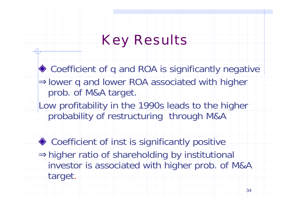# Key Results

- ◆ Coefficient of q and ROA is significantly negative lower q and lower ROA associated with higher prob. of M&A target.
- Low profitability in the 1990s leads to the higher probability of restructuring through M&A
- ◆ Coefficient of inst is significantly positive higher ratio of shareholding by institutional investor is associated with higher prob. of M&A target.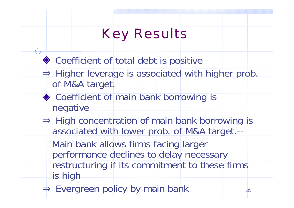## Key Results

35◆ Coefficient of total debt is positive Higher leverage is associated with higher prob. of M&A target. ◆ Coefficient of main bank borrowing is negative High concentration of main bank borrowing is associated with lower prob. of M&A target.-- Main bank allows firms facing larger performance declines to delay necessary restructuring if its commitment to these firms is high Evergreen policy by main bank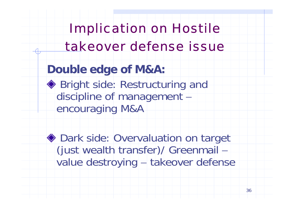# Implication on Hostile takeover defense issue

### **Double edge of M&A:**

◆ Bright side: Restructuring and discipline of management  $\overline{\mathcal{A}}$ encouraging M&A

◆ Dark side: Overvaluation on target (just wealth transfer)/ Greenmail – value destroying – takeover defense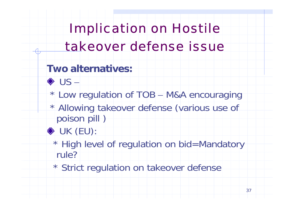# Implication on Hostile takeover defense issue

### **Two alternatives:**

- US –
- \* Low regulation of TOB M&A encouraging
- \* Allowing takeover defense (various use of poison pill )
- UK (EU):
	- \* High level of regulation on bid=Mandatory rule?
	- \* Strict regulation on takeover defense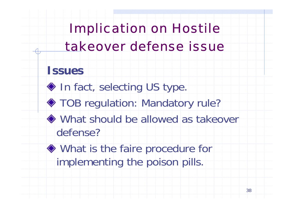# Implication on Hostile takeover defense issue

### **Issues**

- In fact, selecting US type.
- ◆ TOB regulation: Mandatory rule?
- What should be allowed as takeover defense?
- What is the faire procedure for implementing the poison pills.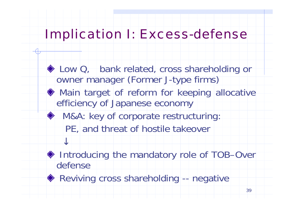## Implication I: Excess-defense

- ◆ Low Q, bank related, cross shareholding or owner manager (Former J-type firms) Main target of reform for keeping allocative efficiency of Japanese economy ◆ M&A: key of corporate restructuring: PE, and threat of hostile takeover
- ◆ Introducing the mandatory role of TOB–Over defense
- ◆ Reviving cross shareholding -- negative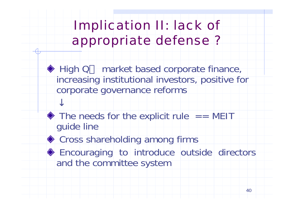## Implication II: lack of appropriate defense ?

◆ High Q market based corporate finance, increasing institutional investors, positive for corporate governance reforms

 $\bullet$  The needs for the explicit rule  $=$  MEIT guide line

◆ Cross shareholding among firms

**Encouraging to introduce outside directors** and the committee system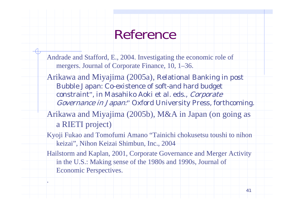## Reference

- Andrade and Stafford, E., 2004. Investigating the economic role of mergers. Journal of Corporate Finance, 10, 1–36.
- Arikawa and Miyajima (2005a), Relational Banking in post Bubble Japan: Co-existence of soft-and hard budget constraint", in Masahiko Aoki et al. eds., Corporate Governance in Japan:" Oxford University Press, forthcoming.
- Arikawa and Miyajima (2005b), M&A in Japan (on going as a RIETI project)
- Kyoji Fukao and Tomofumi Amano "Tainichi chokusetsu toushi to nihon keizai", Nihon Keizai Shimbun, Inc., 2004
- Hailstorm and Kaplan, 2001, Corporate Governance and Merger Activity in the U.S.: Making sense of the 1980s and 1990s, Journal of Economic Perspectives.

.